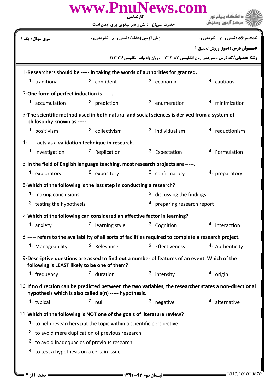| www.PnuNews.com<br>کارشناسی                                                                                                                                      |                                                                                                        |                  |                                                                                         |  |  |
|------------------------------------------------------------------------------------------------------------------------------------------------------------------|--------------------------------------------------------------------------------------------------------|------------------|-----------------------------------------------------------------------------------------|--|--|
|                                                                                                                                                                  | حضرت علی(ع): دانش راهبر نیکویی برای ایمان است                                                          |                  |                                                                                         |  |  |
| <b>سری سوال :</b> یک ۱                                                                                                                                           | <b>زمان آزمون (دقیقه) : تستی : 80 ٪ تشریحی : 0</b>                                                     |                  | تعداد سوالات : تستي : 30 ٪ تشريحي : 0                                                   |  |  |
|                                                                                                                                                                  |                                                                                                        |                  | <b>عنــوان درس :</b> اصول وروش تحقيق 1                                                  |  |  |
|                                                                                                                                                                  |                                                                                                        |                  | <b>رشته تحصیلی/کد درس :</b> مترجمی زبان انگلیسی ۱۲۱۲۰۸۳ - ، زبان وادبیات انگلیسی۱۲۱۲۱۲۶ |  |  |
| 1-Researchers should be ----- in taking the words of authorities for granted.                                                                                    |                                                                                                        |                  |                                                                                         |  |  |
| 1. traditional                                                                                                                                                   | 2. confident                                                                                           | 3. economic      | 4. cautious                                                                             |  |  |
| 2-One form of perfect induction is -----.                                                                                                                        |                                                                                                        |                  |                                                                                         |  |  |
| 1. accumulation                                                                                                                                                  | <sup>2</sup> prediction                                                                                | 3. enumeration   | 4. minimization                                                                         |  |  |
| 3-The scientific method used in both natural and social sciences is derived from a system of<br>philosophy known as -----.                                       |                                                                                                        |                  |                                                                                         |  |  |
| 1. positivism                                                                                                                                                    | 2. collectivism                                                                                        | 3. individualism | 4. reductionism                                                                         |  |  |
|                                                                                                                                                                  | 4------ acts as a validation technique in research.                                                    |                  |                                                                                         |  |  |
| 1. Investigation                                                                                                                                                 | <sup>2.</sup> Replication                                                                              | 3. Expectation   | <sup>4.</sup> Formulation                                                               |  |  |
| 5-In the field of English language teaching, most research projects are -----.                                                                                   |                                                                                                        |                  |                                                                                         |  |  |
| 1. exploratory                                                                                                                                                   | 2. expository                                                                                          | 3. confirmatory  | 4. preparatory                                                                          |  |  |
|                                                                                                                                                                  | 6-Which of the following is the last step in conducting a research?                                    |                  |                                                                                         |  |  |
|                                                                                                                                                                  | <sup>2.</sup> discussing the findings<br>1. making conclusions                                         |                  |                                                                                         |  |  |
|                                                                                                                                                                  | 3. testing the hypothesis                                                                              |                  | 4. preparing research report                                                            |  |  |
|                                                                                                                                                                  | 7-Which of the following can considered an affective factor in learning?                               |                  |                                                                                         |  |  |
| 1. anxiety                                                                                                                                                       | <sup>2.</sup> learning style                                                                           | 3. Cognition     | 4. interaction                                                                          |  |  |
|                                                                                                                                                                  | 8------ refers to the availability of all sorts of facilities required to complete a research project. |                  |                                                                                         |  |  |
| 1. Manageability                                                                                                                                                 | <sup>2.</sup> Relevance                                                                                | 3. Effectiveness | 4. Authenticity                                                                         |  |  |
| 9-Descriptive questions are asked to find out a number of features of an event. Which of the<br>following is LEAST likely to be one of them?                     |                                                                                                        |                  |                                                                                         |  |  |
| 1. frequency                                                                                                                                                     | <sup>2.</sup> duration                                                                                 | 3. intensity     | 4. origin                                                                               |  |  |
| 10-If no direction can be predicted between the two variables, the researcher states a non-directional<br>hypothesis which is also called a(n) ----- hypothesis. |                                                                                                        |                  |                                                                                         |  |  |
| 1. typical                                                                                                                                                       | $2.$ null                                                                                              | 3. negative      | <sup>4.</sup> alternative                                                               |  |  |
|                                                                                                                                                                  | 11-Which of the following is NOT one of the goals of literature review?                                |                  |                                                                                         |  |  |
|                                                                                                                                                                  | 1. to help researchers put the topic within a scientific perspective                                   |                  |                                                                                         |  |  |
|                                                                                                                                                                  | <sup>2.</sup> to avoid mere duplication of previous research                                           |                  |                                                                                         |  |  |
| 3. to avoid inadequacies of previous research                                                                                                                    |                                                                                                        |                  |                                                                                         |  |  |
| 4. to test a hypothesis on a certain issue                                                                                                                       |                                                                                                        |                  |                                                                                         |  |  |
|                                                                                                                                                                  |                                                                                                        |                  |                                                                                         |  |  |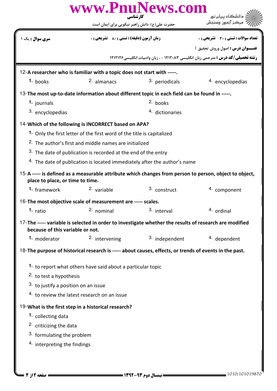| www.PnuNews.com<br>کارشناسی                                                                            |                                                                         |                                                                                                        |                                                                                                        |  |  |
|--------------------------------------------------------------------------------------------------------|-------------------------------------------------------------------------|--------------------------------------------------------------------------------------------------------|--------------------------------------------------------------------------------------------------------|--|--|
|                                                                                                        | حضرت علی(ع): دانش راهبر نیکویی برای ایمان است                           |                                                                                                        |                                                                                                        |  |  |
| <b>سری سوال :</b> یک ۱                                                                                 | <b>زمان آزمون (دقیقه) : تستی : 80 ٪ تشریحی : 0</b>                      |                                                                                                        | <b>تعداد سوالات : تستی : 30 ٪ تشریحی : 0</b>                                                           |  |  |
|                                                                                                        |                                                                         |                                                                                                        | <b>عنــوان درس:</b> اصول وروش تحقيق 1                                                                  |  |  |
|                                                                                                        |                                                                         |                                                                                                        | <b>رشته تحصیلی/کد درس :</b> مترجمی زبان انگلیسی ۱۲۱۲۰۸۳ - ، زبان وادبیات انگلیسی۱۲۱۲۱۲۶                |  |  |
|                                                                                                        | 12-A researcher who is familiar with a topic does not start with -----. |                                                                                                        |                                                                                                        |  |  |
| 1. books                                                                                               | 2. almanacs                                                             | 3. periodicals                                                                                         | 4. encyclopedias                                                                                       |  |  |
|                                                                                                        |                                                                         | 13-The most up-to-date information about different topic in each field can be found in -----.          |                                                                                                        |  |  |
| 1. journals                                                                                            |                                                                         | 2. books                                                                                               |                                                                                                        |  |  |
| 3. encyclopedias                                                                                       |                                                                         | 4. dictionaries                                                                                        |                                                                                                        |  |  |
|                                                                                                        | 14-Which of the following is INCORRECT based on APA?                    |                                                                                                        |                                                                                                        |  |  |
|                                                                                                        | 1. Only the first letter of the first word of the title is capitalized  |                                                                                                        |                                                                                                        |  |  |
|                                                                                                        | <sup>2.</sup> The author's first and middle names are initialized       |                                                                                                        |                                                                                                        |  |  |
|                                                                                                        | 3. The date of publication is recorded at the end of the entry          |                                                                                                        |                                                                                                        |  |  |
|                                                                                                        |                                                                         | <sup>4.</sup> The date of publication is located immediately after the author's name                   |                                                                                                        |  |  |
| place to place, or time to time.                                                                       |                                                                         |                                                                                                        | 15-A ----- is defined as a measurable attribute which changes from person to person, object to object, |  |  |
| 1. framework                                                                                           | <sup>2.</sup> variable                                                  | 3. construct                                                                                           | 4. component                                                                                           |  |  |
| 16-The most objective scale of measurement are ----- scales.                                           |                                                                         |                                                                                                        |                                                                                                        |  |  |
| <sup>1.</sup> ratio                                                                                    | 2. nominal                                                              | 3. interval                                                                                            | <sup>4.</sup> ordinal                                                                                  |  |  |
| because of this variable or not.                                                                       |                                                                         | 17-The ----- variable is selected in order to investigate whether the results of research are modified |                                                                                                        |  |  |
| 1. moderator                                                                                           | <sup>2</sup> intervening                                                | 3. independent                                                                                         | 4. dependent                                                                                           |  |  |
| 18-The purpose of historical research is ----- about causes, effects, or trends of events in the past. |                                                                         |                                                                                                        |                                                                                                        |  |  |
|                                                                                                        | 1. to report what others have said about a particular topic             |                                                                                                        |                                                                                                        |  |  |
| <sup>2</sup> to test a hypothesis                                                                      |                                                                         |                                                                                                        |                                                                                                        |  |  |
| 3. to justify a position on an issue                                                                   |                                                                         |                                                                                                        |                                                                                                        |  |  |
|                                                                                                        | <sup>4.</sup> to review the latest research on an issue                 |                                                                                                        |                                                                                                        |  |  |
|                                                                                                        | 19-What is the first step in a historical research?                     |                                                                                                        |                                                                                                        |  |  |
| 1. collecting data                                                                                     |                                                                         |                                                                                                        |                                                                                                        |  |  |
| 2. criticizing the data                                                                                |                                                                         |                                                                                                        |                                                                                                        |  |  |
| <sup>3.</sup> formulating the problem                                                                  |                                                                         |                                                                                                        |                                                                                                        |  |  |
| <sup>4.</sup> interpreting the findings                                                                |                                                                         |                                                                                                        |                                                                                                        |  |  |
|                                                                                                        |                                                                         |                                                                                                        |                                                                                                        |  |  |
|                                                                                                        |                                                                         |                                                                                                        |                                                                                                        |  |  |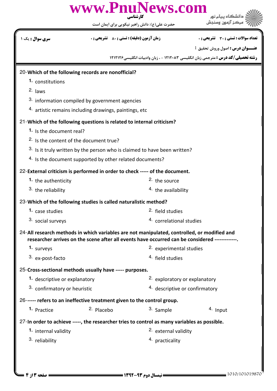